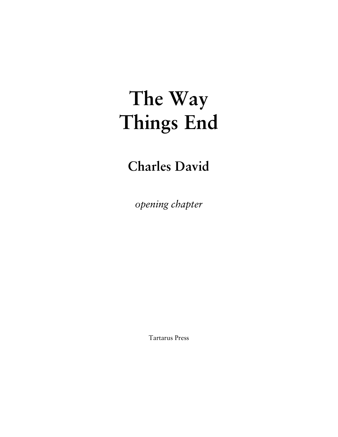# **The Way Things End**

## **Charles David**

*opening chapter* 

Tartarus Press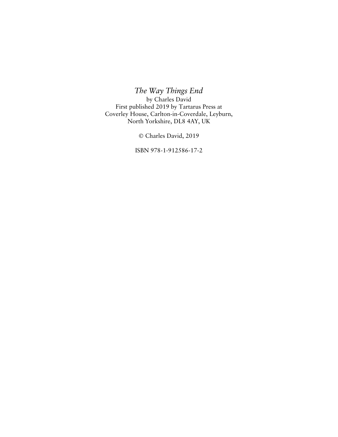*The Way Things End*  by Charles David First published 2019 by Tartarus Press at Coverley House, Carlton-in-Coverdale, Leyburn, North Yorkshire, DL8 4AY, UK

© Charles David, 2019

ISBN 978-1-912586-17-2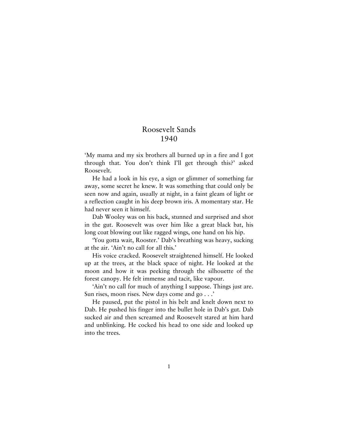### Roosevelt Sands 1940

'My mama and my six brothers all burned up in a fire and I got through that. You don't think I'll get through this?' asked Roosevelt.

He had a look in his eye, a sign or glimmer of something far away, some secret he knew. It was something that could only be seen now and again, usually at night, in a faint gleam of light or a reflection caught in his deep brown iris. A momentary star. He had never seen it himself.

Dab Wooley was on his back, stunned and surprised and shot in the gut. Roosevelt was over him like a great black bat, his long coat blowing out like ragged wings, one hand on his hip.

'You gotta wait, Rooster.' Dab's breathing was heavy, sucking at the air. 'Ain't no call for all this.'

His voice cracked. Roosevelt straightened himself. He looked up at the trees, at the black space of night. He looked at the moon and how it was peeking through the silhouette of the forest canopy. He felt immense and tacit, like vapour.

'Ain't no call for much of anything I suppose. Things just are. Sun rises, moon rises. New days come and go . . .'

He paused, put the pistol in his belt and knelt down next to Dab. He pushed his finger into the bullet hole in Dab's gut. Dab sucked air and then screamed and Roosevelt stared at him hard and unblinking. He cocked his head to one side and looked up into the trees.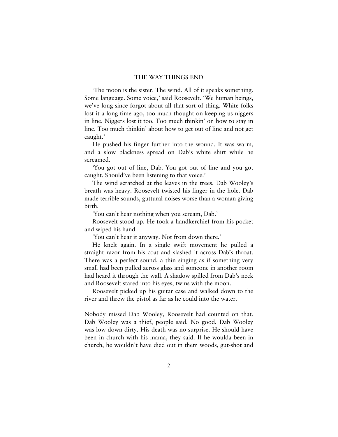'The moon is the sister. The wind. All of it speaks something. Some language. Some voice,' said Roosevelt. 'We human beings, we've long since forgot about all that sort of thing. White folks lost it a long time ago, too much thought on keeping us niggers in line. Niggers lost it too. Too much thinkin' on how to stay in line. Too much thinkin' about how to get out of line and not get caught.'

He pushed his finger further into the wound. It was warm, and a slow blackness spread on Dab's white shirt while he screamed.

'You got out of line, Dab. You got out of line and you got caught. Should've been listening to that voice.'

The wind scratched at the leaves in the trees. Dab Wooley's breath was heavy. Roosevelt twisted his finger in the hole. Dab made terrible sounds, guttural noises worse than a woman giving birth.

'You can't hear nothing when you scream, Dab.'

Roosevelt stood up. He took a handkerchief from his pocket and wiped his hand.

'You can't hear it anyway. Not from down there.'

He knelt again. In a single swift movement he pulled a straight razor from his coat and slashed it across Dab's throat. There was a perfect sound, a thin singing as if something very small had been pulled across glass and someone in another room had heard it through the wall. A shadow spilled from Dab's neck and Roosevelt stared into his eyes, twins with the moon.

Roosevelt picked up his guitar case and walked down to the river and threw the pistol as far as he could into the water.

Nobody missed Dab Wooley, Roosevelt had counted on that. Dab Wooley was a thief, people said. No good. Dab Wooley was low down dirty. His death was no surprise. He should have been in church with his mama, they said. If he woulda been in church, he wouldn't have died out in them woods, gut-shot and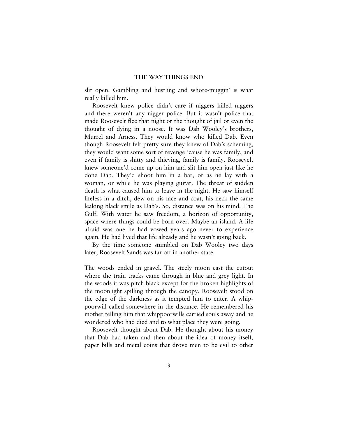slit open. Gambling and hustling and whore-muggin' is what really killed him.

Roosevelt knew police didn't care if niggers killed niggers and there weren't any nigger police. But it wasn't police that made Roosevelt flee that night or the thought of jail or even the thought of dying in a noose. It was Dab Wooley's brothers, Murrel and Arness. They would know who killed Dab. Even though Roosevelt felt pretty sure they knew of Dab's scheming, they would want some sort of revenge 'cause he was family, and even if family is shitty and thieving, family is family. Roosevelt knew someone'd come up on him and slit him open just like he done Dab. They'd shoot him in a bar, or as he lay with a woman, or while he was playing guitar. The threat of sudden death is what caused him to leave in the night. He saw himself lifeless in a ditch, dew on his face and coat, his neck the same leaking black smile as Dab's. So, distance was on his mind. The Gulf. With water he saw freedom, a horizon of opportunity, space where things could be born over. Maybe an island. A life afraid was one he had vowed years ago never to experience again. He had lived that life already and he wasn't going back.

By the time someone stumbled on Dab Wooley two days later, Roosevelt Sands was far off in another state.

The woods ended in gravel. The steely moon cast the cutout where the train tracks came through in blue and grey light. In the woods it was pitch black except for the broken highlights of the moonlight spilling through the canopy. Roosevelt stood on the edge of the darkness as it tempted him to enter. A whippoorwill called somewhere in the distance. He remembered his mother telling him that whippoorwills carried souls away and he wondered who had died and to what place they were going.

Roosevelt thought about Dab. He thought about his money that Dab had taken and then about the idea of money itself, paper bills and metal coins that drove men to be evil to other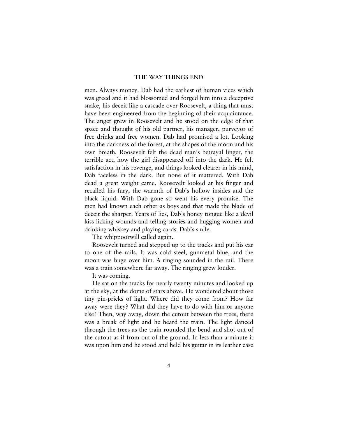men. Always money. Dab had the earliest of human vices which was greed and it had blossomed and forged him into a deceptive snake, his deceit like a cascade over Roosevelt, a thing that must have been engineered from the beginning of their acquaintance. The anger grew in Roosevelt and he stood on the edge of that space and thought of his old partner, his manager, purveyor of free drinks and free women. Dab had promised a lot. Looking into the darkness of the forest, at the shapes of the moon and his own breath, Roosevelt felt the dead man's betrayal linger, the terrible act, how the girl disappeared off into the dark. He felt satisfaction in his revenge, and things looked clearer in his mind, Dab faceless in the dark. But none of it mattered. With Dab dead a great weight came. Roosevelt looked at his finger and recalled his fury, the warmth of Dab's hollow insides and the black liquid. With Dab gone so went his every promise. The men had known each other as boys and that made the blade of deceit the sharper. Years of lies, Dab's honey tongue like a devil kiss licking wounds and telling stories and hugging women and drinking whiskey and playing cards. Dab's smile.

The whippoorwill called again.

Roosevelt turned and stepped up to the tracks and put his ear to one of the rails. It was cold steel, gunmetal blue, and the moon was huge over him. A ringing sounded in the rail. There was a train somewhere far away. The ringing grew louder.

It was coming.

He sat on the tracks for nearly twenty minutes and looked up at the sky, at the dome of stars above. He wondered about those tiny pin-pricks of light. Where did they come from? How far away were they? What did they have to do with him or anyone else? Then, way away, down the cutout between the trees, there was a break of light and he heard the train. The light danced through the trees as the train rounded the bend and shot out of the cutout as if from out of the ground. In less than a minute it was upon him and he stood and held his guitar in its leather case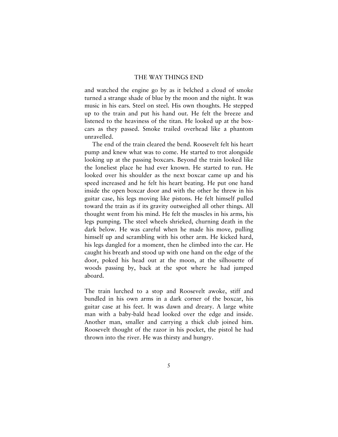and watched the engine go by as it belched a cloud of smoke turned a strange shade of blue by the moon and the night. It was music in his ears. Steel on steel. His own thoughts. He stepped up to the train and put his hand out. He felt the breeze and listened to the heaviness of the titan. He looked up at the boxcars as they passed. Smoke trailed overhead like a phantom unravelled.

The end of the train cleared the bend. Roosevelt felt his heart pump and knew what was to come. He started to trot alongside looking up at the passing boxcars. Beyond the train looked like the loneliest place he had ever known. He started to run. He looked over his shoulder as the next boxcar came up and his speed increased and he felt his heart beating. He put one hand inside the open boxcar door and with the other he threw in his guitar case, his legs moving like pistons. He felt himself pulled toward the train as if its gravity outweighed all other things. All thought went from his mind. He felt the muscles in his arms, his legs pumping. The steel wheels shrieked, churning death in the dark below. He was careful when he made his move, pulling himself up and scrambling with his other arm. He kicked hard, his legs dangled for a moment, then he climbed into the car. He caught his breath and stood up with one hand on the edge of the door, poked his head out at the moon, at the silhouette of woods passing by, back at the spot where he had jumped aboard.

The train lurched to a stop and Roosevelt awoke, stiff and bundled in his own arms in a dark corner of the boxcar, his guitar case at his feet. It was dawn and dreary. A large white man with a baby-bald head looked over the edge and inside. Another man, smaller and carrying a thick club joined him. Roosevelt thought of the razor in his pocket, the pistol he had thrown into the river. He was thirsty and hungry.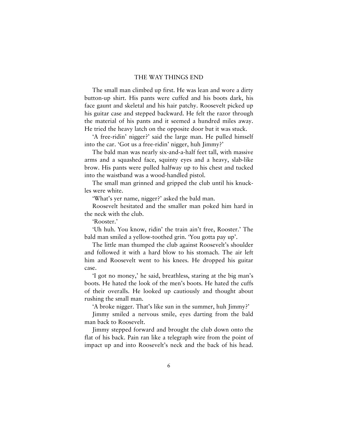The small man climbed up first. He was lean and wore a dirty button-up shirt. His pants were cuffed and his boots dark, his face gaunt and skeletal and his hair patchy. Roosevelt picked up his guitar case and stepped backward. He felt the razor through the material of his pants and it seemed a hundred miles away. He tried the heavy latch on the opposite door but it was stuck.

'A free-ridin' nigger?' said the large man. He pulled himself into the car. 'Got us a free-ridin' nigger, huh Jimmy?'

The bald man was nearly six-and-a-half feet tall, with massive arms and a squashed face, squinty eyes and a heavy, slab-like brow. His pants were pulled halfway up to his chest and tucked into the waistband was a wood-handled pistol.

The small man grinned and gripped the club until his knuckles were white.

'What's yer name, nigger?' asked the bald man.

Roosevelt hesitated and the smaller man poked him hard in the neck with the club.

'Rooster.'

'Uh huh. You know, ridin' the train ain't free, Rooster.' The bald man smiled a yellow-toothed grin. 'You gotta pay up'.

The little man thumped the club against Roosevelt's shoulder and followed it with a hard blow to his stomach. The air left him and Roosevelt went to his knees. He dropped his guitar case.

'I got no money,' he said, breathless, staring at the big man's boots. He hated the look of the men's boots. He hated the cuffs of their overalls. He looked up cautiously and thought about rushing the small man.

'A broke nigger. That's like sun in the summer, huh Jimmy?'

Jimmy smiled a nervous smile, eyes darting from the bald man back to Roosevelt.

Jimmy stepped forward and brought the club down onto the flat of his back. Pain ran like a telegraph wire from the point of impact up and into Roosevelt's neck and the back of his head.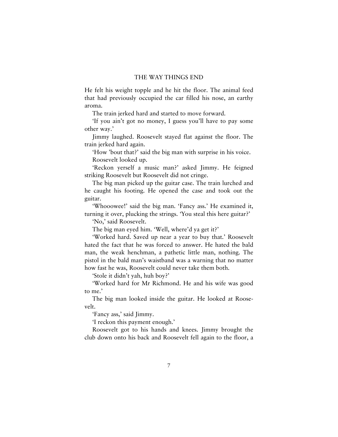He felt his weight topple and he hit the floor. The animal feed that had previously occupied the car filled his nose, an earthy aroma.

The train jerked hard and started to move forward.

'If you ain't got no money, I guess you'll have to pay some other way.'

Jimmy laughed. Roosevelt stayed flat against the floor. The train jerked hard again.

'How 'bout that?' said the big man with surprise in his voice. Roosevelt looked up.

'Reckon yerself a music man?' asked Jimmy. He feigned striking Roosevelt but Roosevelt did not cringe.

The big man picked up the guitar case. The train lurched and he caught his footing. He opened the case and took out the guitar.

'Whooowee!' said the big man. 'Fancy ass.' He examined it, turning it over, plucking the strings. 'You steal this here guitar?'

'No,' said Roosevelt.

The big man eyed him. 'Well, where'd ya get it?'

'Worked hard. Saved up near a year to buy that.' Roosevelt hated the fact that he was forced to answer. He hated the bald man, the weak henchman, a pathetic little man, nothing. The pistol in the bald man's waistband was a warning that no matter how fast he was, Roosevelt could never take them both.

'Stole it didn't yah, huh boy?'

'Worked hard for Mr Richmond. He and his wife was good to me.'

The big man looked inside the guitar. He looked at Roosevelt.

'Fancy ass,' said Jimmy.

'I reckon this payment enough.'

Roosevelt got to his hands and knees. Jimmy brought the club down onto his back and Roosevelt fell again to the floor, a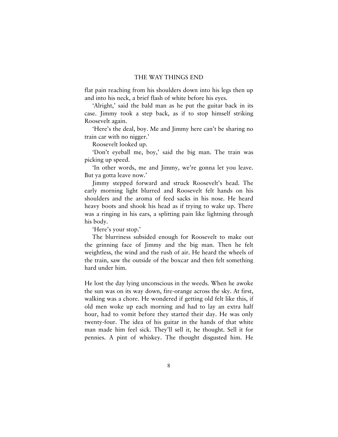flat pain reaching from his shoulders down into his legs then up and into his neck, a brief flash of white before his eyes.

'Alright,' said the bald man as he put the guitar back in its case. Jimmy took a step back, as if to stop himself striking Roosevelt again.

'Here's the deal, boy. Me and Jimmy here can't be sharing no train car with no nigger.'

Roosevelt looked up.

'Don't eyeball me, boy,' said the big man. The train was picking up speed.

'In other words, me and Jimmy, we're gonna let you leave. But ya gotta leave now.'

Jimmy stepped forward and struck Roosevelt's head. The early morning light blurred and Roosevelt felt hands on his shoulders and the aroma of feed sacks in his nose. He heard heavy boots and shook his head as if trying to wake up. There was a ringing in his ears, a splitting pain like lightning through his body.

'Here's your stop.'

The blurriness subsided enough for Roosevelt to make out the grinning face of Jimmy and the big man. Then he felt weightless, the wind and the rush of air. He heard the wheels of the train, saw the outside of the boxcar and then felt something hard under him.

He lost the day lying unconscious in the weeds. When he awoke the sun was on its way down, fire-orange across the sky. At first, walking was a chore. He wondered if getting old felt like this, if old men woke up each morning and had to lay an extra half hour, had to vomit before they started their day. He was only twenty-four. The idea of his guitar in the hands of that white man made him feel sick. They'll sell it, he thought. Sell it for pennies. A pint of whiskey. The thought disgusted him. He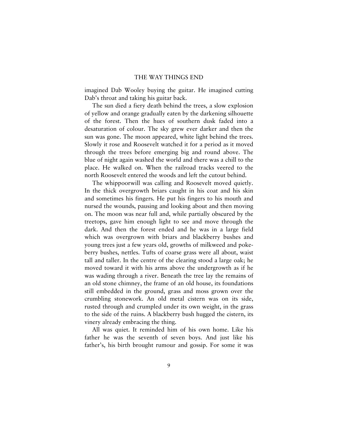imagined Dab Wooley buying the guitar. He imagined cutting Dab's throat and taking his guitar back.

The sun died a fiery death behind the trees, a slow explosion of yellow and orange gradually eaten by the darkening silhouette of the forest. Then the hues of southern dusk faded into a desaturation of colour. The sky grew ever darker and then the sun was gone. The moon appeared, white light behind the trees. Slowly it rose and Roosevelt watched it for a period as it moved through the trees before emerging big and round above. The blue of night again washed the world and there was a chill to the place. He walked on. When the railroad tracks veered to the north Roosevelt entered the woods and left the cutout behind.

The whippoorwill was calling and Roosevelt moved quietly. In the thick overgrowth briars caught in his coat and his skin and sometimes his fingers. He put his fingers to his mouth and nursed the wounds, pausing and looking about and then moving on. The moon was near full and, while partially obscured by the treetops, gave him enough light to see and move through the dark. And then the forest ended and he was in a large field which was overgrown with briars and blackberry bushes and young trees just a few years old, growths of milkweed and pokeberry bushes, nettles. Tufts of coarse grass were all about, waist tall and taller. In the centre of the clearing stood a large oak; he moved toward it with his arms above the undergrowth as if he was wading through a river. Beneath the tree lay the remains of an old stone chimney, the frame of an old house, its foundations still embedded in the ground, grass and moss grown over the crumbling stonework. An old metal cistern was on its side, rusted through and crumpled under its own weight, in the grass to the side of the ruins. A blackberry bush hugged the cistern, its vinery already embracing the thing.

All was quiet. It reminded him of his own home. Like his father he was the seventh of seven boys. And just like his father's, his birth brought rumour and gossip. For some it was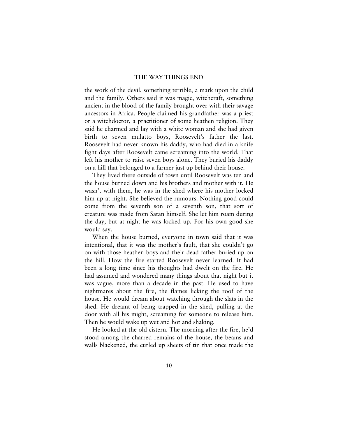the work of the devil, something terrible, a mark upon the child and the family. Others said it was magic, witchcraft, something ancient in the blood of the family brought over with their savage ancestors in Africa. People claimed his grandfather was a priest or a witchdoctor, a practitioner of some heathen religion. They said he charmed and lay with a white woman and she had given birth to seven mulatto boys, Roosevelt's father the last. Roosevelt had never known his daddy, who had died in a knife fight days after Roosevelt came screaming into the world. That left his mother to raise seven boys alone. They buried his daddy on a hill that belonged to a farmer just up behind their house.

They lived there outside of town until Roosevelt was ten and the house burned down and his brothers and mother with it. He wasn't with them, he was in the shed where his mother locked him up at night. She believed the rumours. Nothing good could come from the seventh son of a seventh son, that sort of creature was made from Satan himself. She let him roam during the day, but at night he was locked up. For his own good she would say.

When the house burned, everyone in town said that it was intentional, that it was the mother's fault, that she couldn't go on with those heathen boys and their dead father buried up on the hill. How the fire started Roosevelt never learned. It had been a long time since his thoughts had dwelt on the fire. He had assumed and wondered many things about that night but it was vague, more than a decade in the past. He used to have nightmares about the fire, the flames licking the roof of the house. He would dream about watching through the slats in the shed. He dreamt of being trapped in the shed, pulling at the door with all his might, screaming for someone to release him. Then he would wake up wet and hot and shaking.

He looked at the old cistern. The morning after the fire, he'd stood among the charred remains of the house, the beams and walls blackened, the curled up sheets of tin that once made the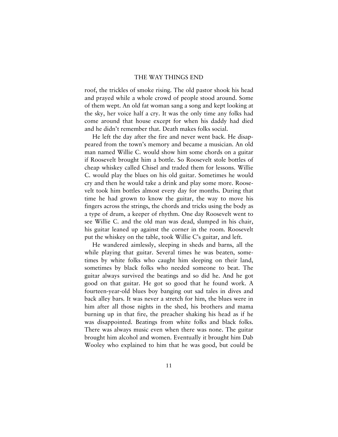roof, the trickles of smoke rising. The old pastor shook his head and prayed while a whole crowd of people stood around. Some of them wept. An old fat woman sang a song and kept looking at the sky, her voice half a cry. It was the only time any folks had come around that house except for when his daddy had died and he didn't remember that. Death makes folks social.

He left the day after the fire and never went back. He disappeared from the town's memory and became a musician. An old man named Willie C. would show him some chords on a guitar if Roosevelt brought him a bottle. So Roosevelt stole bottles of cheap whiskey called Chisel and traded them for lessons. Willie C. would play the blues on his old guitar. Sometimes he would cry and then he would take a drink and play some more. Roosevelt took him bottles almost every day for months. During that time he had grown to know the guitar, the way to move his fingers across the strings, the chords and tricks using the body as a type of drum, a keeper of rhythm. One day Roosevelt went to see Willie C. and the old man was dead, slumped in his chair, his guitar leaned up against the corner in the room. Roosevelt put the whiskey on the table, took Willie C's guitar, and left.

He wandered aimlessly, sleeping in sheds and barns, all the while playing that guitar. Several times he was beaten, sometimes by white folks who caught him sleeping on their land, sometimes by black folks who needed someone to beat. The guitar always survived the beatings and so did he. And he got good on that guitar. He got so good that he found work. A fourteen-year-old blues boy banging out sad tales in dives and back alley bars. It was never a stretch for him, the blues were in him after all those nights in the shed, his brothers and mama burning up in that fire, the preacher shaking his head as if he was disappointed. Beatings from white folks and black folks. There was always music even when there was none. The guitar brought him alcohol and women. Eventually it brought him Dab Wooley who explained to him that he was good, but could be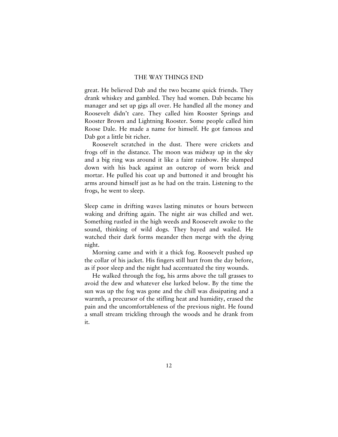great. He believed Dab and the two became quick friends. They drank whiskey and gambled. They had women. Dab became his manager and set up gigs all over. He handled all the money and Roosevelt didn't care. They called him Rooster Springs and Rooster Brown and Lightning Rooster. Some people called him Roose Dale. He made a name for himself. He got famous and Dab got a little bit richer.

Roosevelt scratched in the dust. There were crickets and frogs off in the distance. The moon was midway up in the sky and a big ring was around it like a faint rainbow. He slumped down with his back against an outcrop of worn brick and mortar. He pulled his coat up and buttoned it and brought his arms around himself just as he had on the train. Listening to the frogs, he went to sleep.

Sleep came in drifting waves lasting minutes or hours between waking and drifting again. The night air was chilled and wet. Something rustled in the high weeds and Roosevelt awoke to the sound, thinking of wild dogs. They bayed and wailed. He watched their dark forms meander then merge with the dying night.

Morning came and with it a thick fog. Roosevelt pushed up the collar of his jacket. His fingers still hurt from the day before, as if poor sleep and the night had accentuated the tiny wounds.

He walked through the fog, his arms above the tall grasses to avoid the dew and whatever else lurked below. By the time the sun was up the fog was gone and the chill was dissipating and a warmth, a precursor of the stifling heat and humidity, erased the pain and the uncomfortableness of the previous night. He found a small stream trickling through the woods and he drank from it.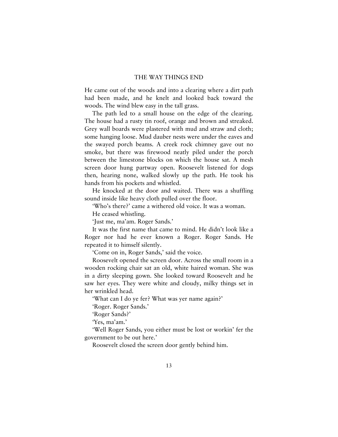He came out of the woods and into a clearing where a dirt path had been made, and he knelt and looked back toward the woods. The wind blew easy in the tall grass.

The path led to a small house on the edge of the clearing. The house had a rusty tin roof, orange and brown and streaked. Grey wall boards were plastered with mud and straw and cloth; some hanging loose. Mud dauber nests were under the eaves and the swayed porch beams. A creek rock chimney gave out no smoke, but there was firewood neatly piled under the porch between the limestone blocks on which the house sat. A mesh screen door hung partway open. Roosevelt listened for dogs then, hearing none, walked slowly up the path. He took his hands from his pockets and whistled.

He knocked at the door and waited. There was a shuffling sound inside like heavy cloth pulled over the floor.

'Who's there?' came a withered old voice. It was a woman.

He ceased whistling.

'Just me, ma'am. Roger Sands.'

It was the first name that came to mind. He didn't look like a Roger nor had he ever known a Roger. Roger Sands. He repeated it to himself silently.

'Come on in, Roger Sands,' said the voice.

Roosevelt opened the screen door. Across the small room in a wooden rocking chair sat an old, white haired woman. She was in a dirty sleeping gown. She looked toward Roosevelt and he saw her eyes. They were white and cloudy, milky things set in her wrinkled head.

'What can I do ye fer? What was yer name again?'

'Roger. Roger Sands.'

'Roger Sands?'

'Yes, ma'am.'

'Well Roger Sands, you either must be lost or workin' fer the government to be out here.'

Roosevelt closed the screen door gently behind him.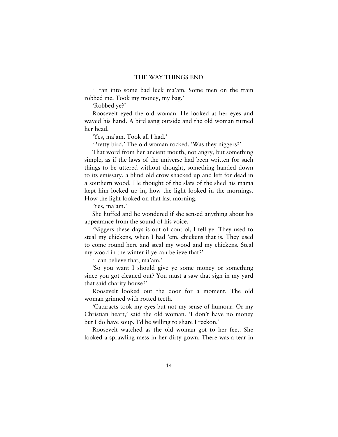'I ran into some bad luck ma'am. Some men on the train robbed me. Took my money, my bag.'

'Robbed ye?'

Roosevelt eyed the old woman. He looked at her eyes and waved his hand. A bird sang outside and the old woman turned her head.

'Yes, ma'am. Took all I had.'

'Pretty bird.' The old woman rocked. 'Was they niggers?'

That word from her ancient mouth, not angry, but something simple, as if the laws of the universe had been written for such things to be uttered without thought, something handed down to its emissary, a blind old crow shacked up and left for dead in a southern wood. He thought of the slats of the shed his mama kept him locked up in, how the light looked in the mornings. How the light looked on that last morning.

'Yes, ma'am.'

She huffed and he wondered if she sensed anything about his appearance from the sound of his voice.

'Niggers these days is out of control, I tell ye. They used to steal my chickens, when I had 'em, chickens that is. They used to come round here and steal my wood and my chickens. Steal my wood in the winter if ye can believe that?'

'I can believe that, ma'am.'

'So you want I should give ye some money or something since you got cleaned out? You must a saw that sign in my yard that said charity house?'

Roosevelt looked out the door for a moment. The old woman grinned with rotted teeth.

'Cataracts took my eyes but not my sense of humour. Or my Christian heart,' said the old woman. 'I don't have no money but I do have soup. I'd be willing to share I reckon.'

Roosevelt watched as the old woman got to her feet. She looked a sprawling mess in her dirty gown. There was a tear in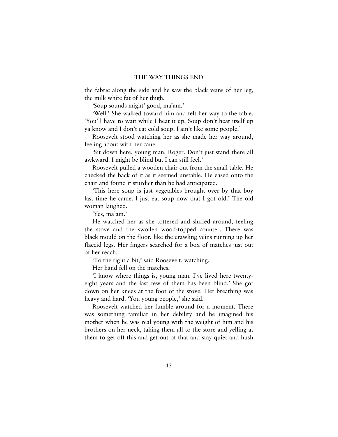the fabric along the side and he saw the black veins of her leg, the milk white fat of her thigh.

'Soup sounds might' good, ma'am.'

'Well.' She walked toward him and felt her way to the table. 'You'll have to wait while I heat it up. Soup don't heat itself up ya know and I don't eat cold soup. I ain't like some people.'

Roosevelt stood watching her as she made her way around, feeling about with her cane.

'Sit down here, young man. Roger. Don't just stand there all awkward. I might be blind but I can still feel.'

Roosevelt pulled a wooden chair out from the small table. He checked the back of it as it seemed unstable. He eased onto the chair and found it sturdier than he had anticipated.

'This here soup is just vegetables brought over by that boy last time he came. I just eat soup now that I got old.' The old woman laughed.

'Yes, ma'am.'

He watched her as she tottered and sluffed around, feeling the stove and the swollen wood-topped counter. There was black mould on the floor, like the crawling veins running up her flaccid legs. Her fingers searched for a box of matches just out of her reach.

'To the right a bit,' said Roosevelt, watching.

Her hand fell on the matches.

'I know where things is, young man. I've lived here twentyeight years and the last few of them has been blind.' She got down on her knees at the foot of the stove. Her breathing was heavy and hard. 'You young people,' she said.

Roosevelt watched her fumble around for a moment. There was something familiar in her debility and he imagined his mother when he was real young with the weight of him and his brothers on her neck, taking them all to the store and yelling at them to get off this and get out of that and stay quiet and hush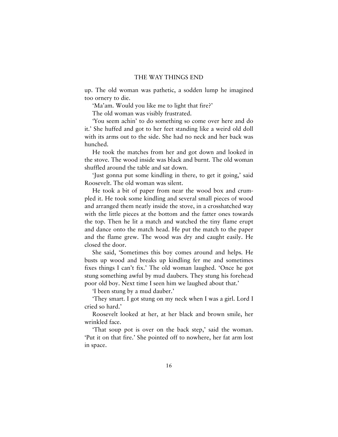up. The old woman was pathetic, a sodden lump he imagined too ornery to die.

'Ma'am. Would you like me to light that fire?'

The old woman was visibly frustrated.

'You seem achin' to do something so come over here and do it.' She huffed and got to her feet standing like a weird old doll with its arms out to the side. She had no neck and her back was hunched.

He took the matches from her and got down and looked in the stove. The wood inside was black and burnt. The old woman shuffled around the table and sat down.

'Just gonna put some kindling in there, to get it going,' said Roosevelt. The old woman was silent.

He took a bit of paper from near the wood box and crumpled it. He took some kindling and several small pieces of wood and arranged them neatly inside the stove, in a crosshatched way with the little pieces at the bottom and the fatter ones towards the top. Then he lit a match and watched the tiny flame erupt and dance onto the match head. He put the match to the paper and the flame grew. The wood was dry and caught easily. He closed the door.

She said, 'Sometimes this boy comes around and helps. He busts up wood and breaks up kindling fer me and sometimes fixes things I can't fix.' The old woman laughed. 'Once he got stung something awful by mud daubers. They stung his forehead poor old boy. Next time I seen him we laughed about that.'

'I been stung by a mud dauber.'

'They smart. I got stung on my neck when I was a girl. Lord I cried so hard.'

Roosevelt looked at her, at her black and brown smile, her wrinkled face.

'That soup pot is over on the back step,' said the woman. 'Put it on that fire.' She pointed off to nowhere, her fat arm lost in space.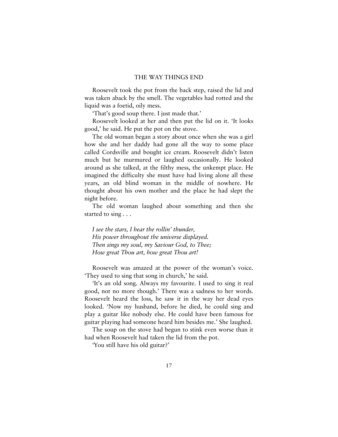Roosevelt took the pot from the back step, raised the lid and was taken aback by the smell. The vegetables had rotted and the liquid was a foetid, oily mess.

'That's good soup there. I just made that.'

Roosevelt looked at her and then put the lid on it. 'It looks good,' he said. He put the pot on the stove.

The old woman began a story about once when she was a girl how she and her daddy had gone all the way to some place called Cordsville and bought ice cream. Roosevelt didn't listen much but he murmured or laughed occasionally. He looked around as she talked, at the filthy mess, the unkempt place. He imagined the difficulty she must have had living alone all these years, an old blind woman in the middle of nowhere. He thought about his own mother and the place he had slept the night before.

The old woman laughed about something and then she started to sing . . .

*I see the stars, I hear the rollin' thunder, His power throughout the universe displayed. Then sings my soul, my Saviour God, to Thee; How great Thou art, how great Thou art!* 

Roosevelt was amazed at the power of the woman's voice. 'They used to sing that song in church,' he said.

'It's an old song. Always my favourite. I used to sing it real good, not no more though.' There was a sadness to her words. Roosevelt heard the loss, he saw it in the way her dead eyes looked. 'Now my husband, before he died, he could sing and play a guitar like nobody else. He could have been famous for guitar playing had someone heard him besides me.' She laughed.

The soup on the stove had begun to stink even worse than it had when Roosevelt had taken the lid from the pot.

'You still have his old guitar?'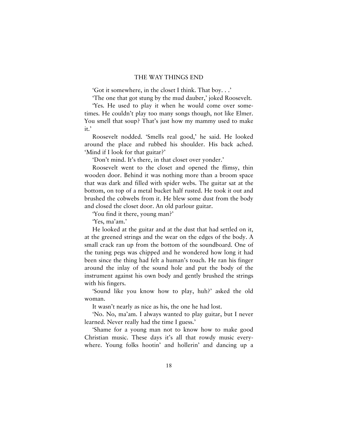'Got it somewhere, in the closet I think. That boy. . .'

'The one that got stung by the mud dauber,' joked Roosevelt.

'Yes. He used to play it when he would come over sometimes. He couldn't play too many songs though, not like Elmer. You smell that soup? That's just how my mammy used to make it.'

Roosevelt nodded. 'Smells real good,' he said. He looked around the place and rubbed his shoulder. His back ached. 'Mind if I look for that guitar?'

'Don't mind. It's there, in that closet over yonder.'

Roosevelt went to the closet and opened the flimsy, thin wooden door. Behind it was nothing more than a broom space that was dark and filled with spider webs. The guitar sat at the bottom, on top of a metal bucket half rusted. He took it out and brushed the cobwebs from it. He blew some dust from the body and closed the closet door. An old parlour guitar.

'You find it there, young man?'

'Yes, ma'am.'

He looked at the guitar and at the dust that had settled on it, at the greened strings and the wear on the edges of the body. A small crack ran up from the bottom of the soundboard. One of the tuning pegs was chipped and he wondered how long it had been since the thing had felt a human's touch. He ran his finger around the inlay of the sound hole and put the body of the instrument against his own body and gently brushed the strings with his fingers.

'Sound like you know how to play, huh?' asked the old woman.

It wasn't nearly as nice as his, the one he had lost.

'No. No, ma'am. I always wanted to play guitar, but I never learned. Never really had the time I guess.'

'Shame for a young man not to know how to make good Christian music. These days it's all that rowdy music everywhere. Young folks hootin' and hollerin' and dancing up a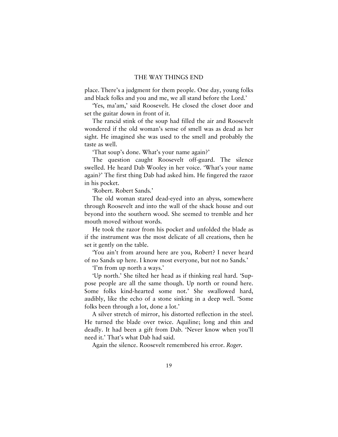place. There's a judgment for them people. One day, young folks and black folks and you and me, we all stand before the Lord.'

'Yes, ma'am,' said Roosevelt. He closed the closet door and set the guitar down in front of it.

The rancid stink of the soup had filled the air and Roosevelt wondered if the old woman's sense of smell was as dead as her sight. He imagined she was used to the smell and probably the taste as well.

'That soup's done. What's your name again?'

The question caught Roosevelt off-guard. The silence swelled. He heard Dab Wooley in her voice. 'What's your name again?' The first thing Dab had asked him. He fingered the razor in his pocket.

'Robert. Robert Sands.'

The old woman stared dead-eyed into an abyss, somewhere through Roosevelt and into the wall of the shack house and out beyond into the southern wood. She seemed to tremble and her mouth moved without words.

He took the razor from his pocket and unfolded the blade as if the instrument was the most delicate of all creations, then he set it gently on the table.

'You ain't from around here are you, Robert? I never heard of no Sands up here. I know most everyone, but not no Sands.'

'I'm from up north a ways.'

'Up north.' She tilted her head as if thinking real hard. 'Suppose people are all the same though. Up north or round here. Some folks kind-hearted some not.' She swallowed hard, audibly, like the echo of a stone sinking in a deep well. 'Some folks been through a lot, done a lot.'

A silver stretch of mirror, his distorted reflection in the steel. He turned the blade over twice. Aquiline; long and thin and deadly. It had been a gift from Dab. 'Never know when you'll need it.' That's what Dab had said.

Again the silence. Roosevelt remembered his error. *Roger.*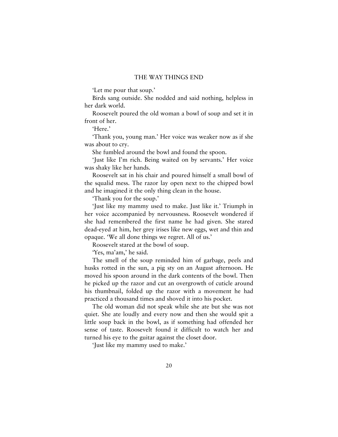'Let me pour that soup.'

Birds sang outside. She nodded and said nothing, helpless in her dark world.

Roosevelt poured the old woman a bowl of soup and set it in front of her.

'Here'

'Thank you, young man.' Her voice was weaker now as if she was about to cry.

She fumbled around the bowl and found the spoon.

'Just like I'm rich. Being waited on by servants.' Her voice was shaky like her hands.

Roosevelt sat in his chair and poured himself a small bowl of the squalid mess. The razor lay open next to the chipped bowl and he imagined it the only thing clean in the house.

'Thank you for the soup.'

'Just like my mammy used to make. Just like it.' Triumph in her voice accompanied by nervousness. Roosevelt wondered if she had remembered the first name he had given. She stared dead-eyed at him, her grey irises like new eggs, wet and thin and opaque. 'We all done things we regret. All of us.'

Roosevelt stared at the bowl of soup.

'Yes, ma'am,' he said.

The smell of the soup reminded him of garbage, peels and husks rotted in the sun, a pig sty on an August afternoon. He moved his spoon around in the dark contents of the bowl. Then he picked up the razor and cut an overgrowth of cuticle around his thumbnail, folded up the razor with a movement he had practiced a thousand times and shoved it into his pocket.

The old woman did not speak while she ate but she was not quiet. She ate loudly and every now and then she would spit a little soup back in the bowl, as if something had offended her sense of taste. Roosevelt found it difficult to watch her and turned his eye to the guitar against the closet door.

'Just like my mammy used to make.'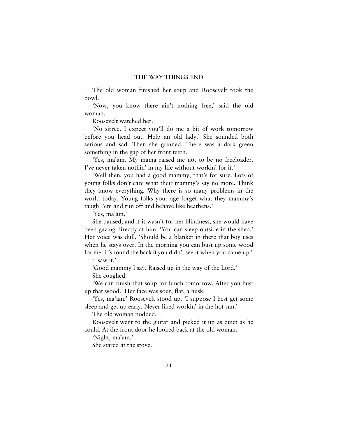The old woman finished her soup and Roosevelt took the bowl.

'Now, you know there ain't nothing free,' said the old woman.

Roosevelt watched her.

'No sirree. I expect you'll do me a bit of work tomorrow before you head out. Help an old lady.' She sounded both serious and sad. Then she grinned. There was a dark green something in the gap of her front teeth.

'Yes, ma'am. My mama raised me not to be no freeloader. I've never taken nothin' in my life without workin' for it.'

'Well then, you had a good mammy, that's for sure. Lots of young folks don't care what their mammy's say no more. Think they know everything. Why there is so many problems in the world today. Young folks your age forget what they mammy's taugh' 'em and run off and behave like heathens.'

'Yes, ma'am.'

She paused, and if it wasn't for her blindness, she would have been gazing directly at him. 'You can sleep outside in the shed.' Her voice was dull. 'Should be a blanket in there that boy uses when he stays over. In the morning you can bust up some wood for me. It's round the back if you didn't see it when you came up.'

'I saw it.'

'Good mammy I say. Raised up in the way of the Lord.' She coughed.

'We can finish that soup for lunch tomorrow. After you bust up that wood.' Her face was sour, flat, a husk.

'Yes, ma'am.' Roosevelt stood up. 'I suppose I best get some sleep and get up early. Never liked workin' in the hot sun.'

The old woman nodded.

Roosevelt went to the guitar and picked it up as quiet as he could. At the front door he looked back at the old woman.

'Night, ma'am.'

She stared at the stove.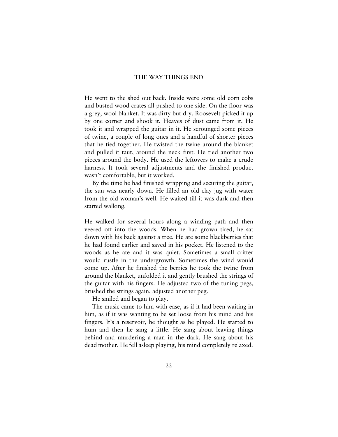He went to the shed out back. Inside were some old corn cobs and busted wood crates all pushed to one side. On the floor was a grey, wool blanket. It was dirty but dry. Roosevelt picked it up by one corner and shook it. Heaves of dust came from it. He took it and wrapped the guitar in it. He scrounged some pieces of twine, a couple of long ones and a handful of shorter pieces that he tied together. He twisted the twine around the blanket and pulled it taut, around the neck first. He tied another two pieces around the body. He used the leftovers to make a crude harness. It took several adjustments and the finished product wasn't comfortable, but it worked.

By the time he had finished wrapping and securing the guitar, the sun was nearly down. He filled an old clay jug with water from the old woman's well. He waited till it was dark and then started walking.

He walked for several hours along a winding path and then veered off into the woods. When he had grown tired, he sat down with his back against a tree. He ate some blackberries that he had found earlier and saved in his pocket. He listened to the woods as he ate and it was quiet. Sometimes a small critter would rustle in the undergrowth. Sometimes the wind would come up. After he finished the berries he took the twine from around the blanket, unfolded it and gently brushed the strings of the guitar with his fingers. He adjusted two of the tuning pegs, brushed the strings again, adjusted another peg.

He smiled and began to play.

The music came to him with ease, as if it had been waiting in him, as if it was wanting to be set loose from his mind and his fingers. It's a reservoir, he thought as he played. He started to hum and then he sang a little. He sang about leaving things behind and murdering a man in the dark. He sang about his dead mother. He fell asleep playing, his mind completely relaxed.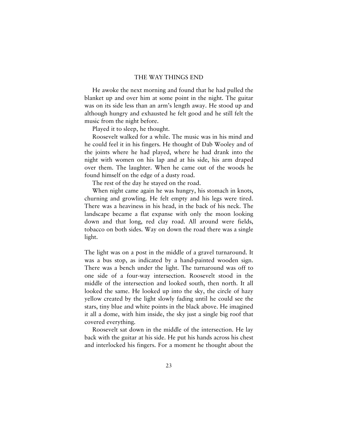He awoke the next morning and found that he had pulled the blanket up and over him at some point in the night. The guitar was on its side less than an arm's length away. He stood up and although hungry and exhausted he felt good and he still felt the music from the night before.

Played it to sleep, he thought.

Roosevelt walked for a while. The music was in his mind and he could feel it in his fingers. He thought of Dab Wooley and of the joints where he had played, where he had drank into the night with women on his lap and at his side, his arm draped over them. The laughter. When he came out of the woods he found himself on the edge of a dusty road.

The rest of the day he stayed on the road.

When night came again he was hungry, his stomach in knots, churning and growling. He felt empty and his legs were tired. There was a heaviness in his head, in the back of his neck. The landscape became a flat expanse with only the moon looking down and that long, red clay road. All around were fields, tobacco on both sides. Way on down the road there was a single light.

The light was on a post in the middle of a gravel turnaround. It was a bus stop, as indicated by a hand-painted wooden sign. There was a bench under the light. The turnaround was off to one side of a four-way intersection. Roosevelt stood in the middle of the intersection and looked south, then north. It all looked the same. He looked up into the sky, the circle of hazy yellow created by the light slowly fading until he could see the stars, tiny blue and white points in the black above. He imagined it all a dome, with him inside, the sky just a single big roof that covered everything.

Roosevelt sat down in the middle of the intersection. He lay back with the guitar at his side. He put his hands across his chest and interlocked his fingers. For a moment he thought about the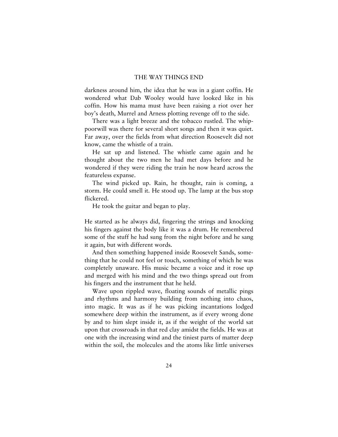darkness around him, the idea that he was in a giant coffin. He wondered what Dab Wooley would have looked like in his coffin. How his mama must have been raising a riot over her boy's death, Murrel and Arness plotting revenge off to the side.

There was a light breeze and the tobacco rustled. The whippoorwill was there for several short songs and then it was quiet. Far away, over the fields from what direction Roosevelt did not know, came the whistle of a train.

He sat up and listened. The whistle came again and he thought about the two men he had met days before and he wondered if they were riding the train he now heard across the featureless expanse.

The wind picked up. Rain, he thought, rain is coming, a storm. He could smell it. He stood up. The lamp at the bus stop flickered.

He took the guitar and began to play.

He started as he always did, fingering the strings and knocking his fingers against the body like it was a drum. He remembered some of the stuff he had sung from the night before and he sang it again, but with different words.

And then something happened inside Roosevelt Sands, something that he could not feel or touch, something of which he was completely unaware. His music became a voice and it rose up and merged with his mind and the two things spread out from his fingers and the instrument that he held.

Wave upon rippled wave, floating sounds of metallic pings and rhythms and harmony building from nothing into chaos, into magic. It was as if he was picking incantations lodged somewhere deep within the instrument, as if every wrong done by and to him slept inside it, as if the weight of the world sat upon that crossroads in that red clay amidst the fields. He was at one with the increasing wind and the tiniest parts of matter deep within the soil, the molecules and the atoms like little universes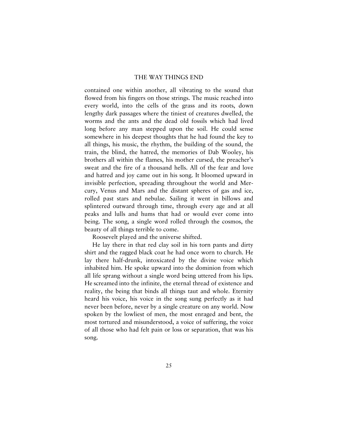contained one within another, all vibrating to the sound that flowed from his fingers on those strings. The music reached into every world, into the cells of the grass and its roots, down lengthy dark passages where the tiniest of creatures dwelled, the worms and the ants and the dead old fossils which had lived long before any man stepped upon the soil. He could sense somewhere in his deepest thoughts that he had found the key to all things, his music, the rhythm, the building of the sound, the train, the blind, the hatred, the memories of Dab Wooley, his brothers all within the flames, his mother cursed, the preacher's sweat and the fire of a thousand hells. All of the fear and love and hatred and joy came out in his song. It bloomed upward in invisible perfection, spreading throughout the world and Mercury, Venus and Mars and the distant spheres of gas and ice, rolled past stars and nebulae. Sailing it went in billows and splintered outward through time, through every age and at all peaks and lulls and hums that had or would ever come into being. The song, a single word rolled through the cosmos, the beauty of all things terrible to come.

Roosevelt played and the universe shifted.

He lay there in that red clay soil in his torn pants and dirty shirt and the ragged black coat he had once worn to church. He lay there half-drunk, intoxicated by the divine voice which inhabited him. He spoke upward into the dominion from which all life sprang without a single word being uttered from his lips. He screamed into the infinite, the eternal thread of existence and reality, the being that binds all things taut and whole. Eternity heard his voice, his voice in the song sung perfectly as it had never been before, never by a single creature on any world. Now spoken by the lowliest of men, the most enraged and bent, the most tortured and misunderstood, a voice of suffering, the voice of all those who had felt pain or loss or separation, that was his song.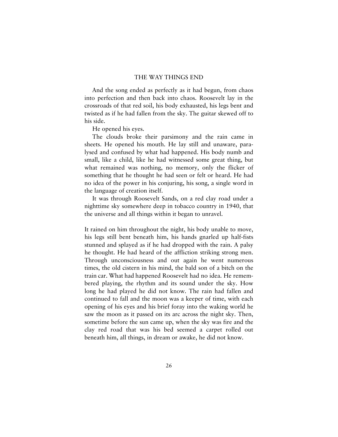And the song ended as perfectly as it had begun, from chaos into perfection and then back into chaos. Roosevelt lay in the crossroads of that red soil, his body exhausted, his legs bent and twisted as if he had fallen from the sky. The guitar skewed off to his side.

He opened his eyes.

The clouds broke their parsimony and the rain came in sheets. He opened his mouth. He lay still and unaware, paralysed and confused by what had happened. His body numb and small, like a child, like he had witnessed some great thing, but what remained was nothing, no memory, only the flicker of something that he thought he had seen or felt or heard. He had no idea of the power in his conjuring, his song, a single word in the language of creation itself.

It was through Roosevelt Sands, on a red clay road under a nighttime sky somewhere deep in tobacco country in 1940, that the universe and all things within it began to unravel.

It rained on him throughout the night, his body unable to move, his legs still bent beneath him, his hands gnarled up half-fists stunned and splayed as if he had dropped with the rain. A palsy he thought. He had heard of the affliction striking strong men. Through unconsciousness and out again he went numerous times, the old cistern in his mind, the bald son of a bitch on the train car. What had happened Roosevelt had no idea. He remembered playing, the rhythm and its sound under the sky. How long he had played he did not know. The rain had fallen and continued to fall and the moon was a keeper of time, with each opening of his eyes and his brief foray into the waking world he saw the moon as it passed on its arc across the night sky. Then, sometime before the sun came up, when the sky was fire and the clay red road that was his bed seemed a carpet rolled out beneath him, all things, in dream or awake, he did not know.